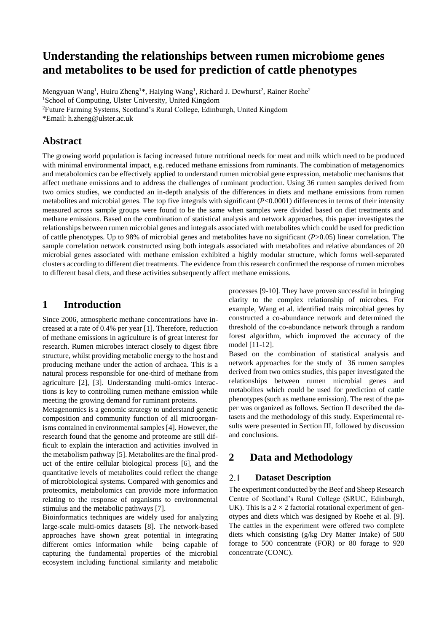# **Understanding the relationships between rumen microbiome genes and metabolites to be used for prediction of cattle phenotypes**

Mengyuan Wang<sup>1</sup>, Huiru Zheng<sup>1\*</sup>, Haiying Wang<sup>1</sup>, Richard J. Dewhurst<sup>2</sup>, Rainer Roehe<sup>2</sup> <sup>1</sup>School of Computing, Ulster University, United Kingdom

<sup>2</sup>Future Farming Systems, Scotland's Rural College, Edinburgh, United Kingdom

\*Email: h.zheng@ulster.ac.uk

### **Abstract**

The growing world population is facing increased future nutritional needs for meat and milk which need to be produced with minimal environmental impact, e.g. reduced methane emissions from ruminants. The combination of metagenomics and metabolomics can be effectively applied to understand rumen microbial gene expression, metabolic mechanisms that affect methane emissions and to address the challenges of ruminant production. Using 36 rumen samples derived from two omics studies, we conducted an in-depth analysis of the differences in diets and methane emissions from rumen metabolites and microbial genes. The top five integrals with significant (*P*<0.0001) differences in terms of their intensity measured across sample groups were found to be the same when samples were divided based on diet treatments and methane emissions. Based on the combination of statistical analysis and network approaches, this paper investigates the relationships between rumen microbial genes and integrals associated with metabolites which could be used for prediction of cattle phenotypes. Up to 98% of microbial genes and metabolites have no significant (*P*>0.05) linear correlation. The sample correlation network constructed using both integrals associated with metabolites and relative abundances of 20 microbial genes associated with methane emission exhibited a highly modular structure, which forms well-separated clusters according to different diet treatments. The evidence from this research confirmed the response of rumen microbes to different basal diets, and these activities subsequently affect methane emissions.

## **1 Introduction**

Since 2006, atmospheric methane concentrations have increased at a rate of 0.4% per year [1]. Therefore, reduction of methane emissions in agriculture is of great interest for research. Rumen microbes interact closely to digest fibre structure, whilst providing metabolic energy to the host and producing methane under the action of archaea. This is a natural process responsible for one-third of methane from agriculture [2], [3]. Understanding multi-omics interactions is key to controlling rumen methane emission while meeting the growing demand for ruminant proteins.

Metagenomics is a genomic strategy to understand genetic composition and community function of all microorganisms contained in environmental samples [4]. However, the research found that the genome and proteome are still difficult to explain the interaction and activities involved in the metabolism pathway [5]. Metabolites are the final product of the entire cellular biological process [6], and the quantitative levels of metabolites could reflect the change of microbiological systems. Compared with genomics and proteomics, metabolomics can provide more information relating to the response of organisms to environmental stimulus and the metabolic pathways [7].

Bioinformatics techniques are widely used for analyzing large-scale multi-omics datasets [8]. The network-based approaches have shown great potential in integrating different omics information while being capable of capturing the fundamental properties of the microbial ecosystem including functional similarity and metabolic processes [9-10]. They have proven successful in bringing clarity to the complex relationship of microbes. For example, Wang et al. identified traits mircobial genes by constructed a co-abundance network and determined the threshold of the co-abundance network through a random forest algorithm, which improved the accuracy of the model [11-12].

Based on the combination of statistical analysis and network approaches for the study of 36 rumen samples derived from two omics studies, this paper investigated the relationships between rumen microbial genes and metabolites which could be used for prediction of cattle phenotypes (such as methane emission). The rest of the paper was organized as follows. Section II described the datasets and the methodology of this study. Experimental results were presented in Section III, followed by discussion and conclusions.

## **2 Data and Methodology**

#### 2.1 **Dataset Description**

The experiment conducted by the Beef and Sheep Research Centre of Scotland's Rural College (SRUC, Edinburgh, UK). This is a  $2 \times 2$  factorial rotational experiment of genotypes and diets which was designed by Roehe et al. [9]. The cattles in the experiment were offered two complete diets which consisting (g/kg Dry Matter Intake) of 500 forage to 500 concentrate (FOR) or 80 forage to 920 concentrate (CONC).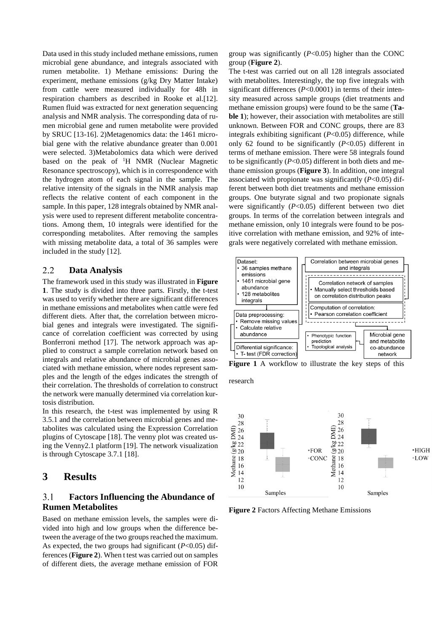Data used in this study included methane emissions, rumen microbial gene abundance, and integrals associated with rumen metabolite. 1) Methane emissions: During the experiment, methane emissions (g/kg Dry Matter Intake) from cattle were measured individually for 48h in respiration chambers as described in Rooke et al.[12]. Rumen fluid was extracted for next generation sequencing analysis and NMR analysis. The corresponding data of rumen microbial gene and rumen metabolite were provided by SRUC [13-16]. 2)Metagenomics data: the 1461 microbial gene with the relative abundance greater than 0.001 were selected. 3)Metabolomics data which were derived based on the peak of <sup>1</sup>H NMR (Nuclear Magnetic Resonance spectroscopy), which is in correspondence with the hydrogen atom of each signal in the sample. The relative intensity of the signals in the NMR analysis map reflects the relative content of each component in the sample. In this paper, 128 integrals obtained by NMR analysis were used to represent different metabolite concentrations. Among them, 10 integrals were identified for the corresponding metabolites. After removing the samples with missing metabolite data, a total of 36 samples were included in the study [12].

#### $2.2$ **Data Analysis**

The framework used in this study was illustrated in **Figure 1**. The study is divided into three parts. Firstly, the t-test was used to verify whether there are significant differences in methane emissions and metabolites when cattle were fed different diets. After that, the correlation between microbial genes and integrals were investigated. The significance of correlation coefficient was corrected by using Bonferroni method [17]. The network approach was applied to construct a sample correlation network based on integrals and relative abundance of microbial genes associated with methane emission, where nodes represent samples and the length of the edges indicates the strength of their correlation. The thresholds of correlation to construct the network were manually determined via correlation kurtosis distribution.

In this research, the t-test was implemented by using R 3.5.1 and the correlation between microbial genes and metabolites was calculated using the Expression Correlation plugins of Cytoscape [18]. The venny plot was created using the Venny2.1 platform [19]. The network visualization is through Cytoscape 3.7.1 [18].

### **3 Results**

### **Factors Influencing the Abundance of**   $3.1$ **Rumen Metabolites**

Based on methane emission levels, the samples were divided into high and low groups when the difference between the average of the two groups reached the maximum. As expected, the two groups had significant (*P*<0.05) differences (**Figure 2**). When t test was carried out on samples of different diets, the average methane emission of FOR

group was significantly (*P*<0.05) higher than the CONC group (**Figure 2**).

The t-test was carried out on all 128 integrals associated with metabolites. Interestingly, the top five integrals with significant differences (*P*<0.0001) in terms of their intensity measured across sample groups (diet treatments and methane emission groups) were found to be the same (**Table 1**); however, their association with metabolites are still unknown. Between FOR and CONC groups, there are 83 integrals exhibiting significant (*P*<0.05) difference, while only 62 found to be significantly (*P*<0.05) different in terms of methane emission. There were 58 integrals found to be significantly (*P*<0.05) different in both diets and methane emission groups (**Figure 3**). In addition, one integral associated with propionate was significantly (*P*<0.05) different between both diet treatments and methane emission groups. One butyrate signal and two propionate signals were significantly (*P*<0.05) different between two diet groups. In terms of the correlation between integrals and methane emission, only 10 integrals were found to be positive correlation with methane emission, and 92% of integrals were negatively correlated with methane emission.



**Figure 1** A workflow to illustrate the key steps of this

research



**Figure 2** Factors Affecting Methane Emissions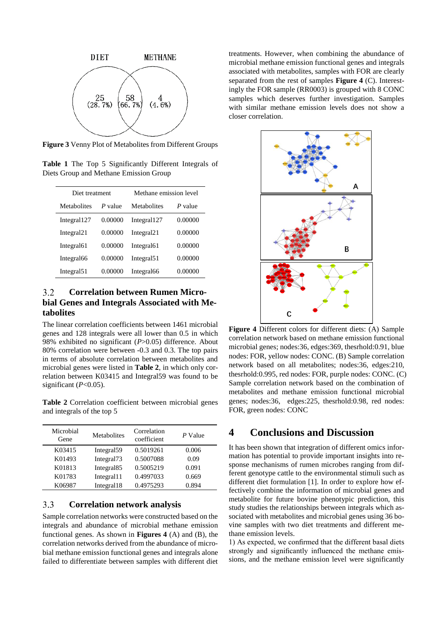

**Figure 3** Venny Plot of Metabolites from Different Groups

**Table 1** The Top 5 Significantly Different Integrals of Diets Group and Methane Emission Group

| Diet treatment         |         | Methane emission level |         |
|------------------------|---------|------------------------|---------|
| Metabolites            | P value | Metabolites            | P value |
| Integral127            | 0.00000 | Integral 127           | 0.00000 |
| Integral <sub>21</sub> | 0.00000 | Integral <sub>21</sub> | 0.00000 |
| Integral <sub>61</sub> | 0.00000 | Integral <sub>61</sub> | 0.00000 |
| Integral66             | 0.00000 | Integral51             | 0.00000 |
| Integral51             | 0.00000 | Integral66             | 0.00000 |

### $3.2$ **Correlation between Rumen Microbial Genes and Integrals Associated with Metabolites**

The linear correlation coefficients between 1461 microbial genes and 128 integrals were all lower than 0.5 in which 98% exhibited no significant (*P*>0.05) difference. About 80% correlation were between -0.3 and 0.3. The top pairs in terms of absolute correlation between metabolites and microbial genes were listed in **Table 2**, in which only correlation between K03415 and Integral59 was found to be significant  $(P<0.05)$ .

**Table 2** Correlation coefficient between microbial genes and integrals of the top 5

| Microbial<br>Gene | Metabolites            | Correlation<br>coefficient | P Value |
|-------------------|------------------------|----------------------------|---------|
| K03415            | Integral59             | 0.5019261                  | 0.006   |
| K01493            | Integral <sup>73</sup> | 0.5007088                  | 0.09    |
| K01813            | Integral <sub>85</sub> | 0.5005219                  | 0.091   |
| K01783            | Integral 1             | 0.4997033                  | 0.669   |
| K06987            | Integral18             | 0.4975293                  | 0.894   |

### $3.3$ **Correlation network analysis**

Sample correlation networks were constructed based on the integrals and abundance of microbial methane emission functional genes. As shown in **Figures 4** (A) and (B), the correlation networks derived from the abundance of microbial methane emission functional genes and integrals alone failed to differentiate between samples with different diet treatments. However, when combining the abundance of microbial methane emission functional genes and integrals associated with metabolites, samples with FOR are clearly separated from the rest of samples **Figure 4** (C). Interestingly the FOR sample (RR0003) is grouped with 8 CONC samples which deserves further investigation. Samples with similar methane emission levels does not show a closer correlation.



**Figure 4** Different colors for different diets: (A) Sample correlation network based on methane emission functional microbial genes; nodes:36, edges:369, thesrhold:0.91, blue nodes: FOR, yellow nodes: CONC. (B) Sample correlation network based on all metabolites; nodes:36, edges:210, thesrhold:0.995, red nodes: FOR, purple nodes: CONC. (C) Sample correlation network based on the combination of metabolites and methane emission functional microbial genes; nodes:36, edges:225, thesrhold:0.98, red nodes: FOR, green nodes: CONC

### **4 Conclusions and Discussion**

It has been shown that integration of different omics information has potential to provide important insights into response mechanisms of rumen microbes ranging from different genotype cattle to the environmental stimuli such as different diet formulation [1]. In order to explore how effectively combine the information of microbial genes and metabolite for future bovine phenotypic prediction, this study studies the relationships between integrals which associated with metabolites and microbial genes using 36 bovine samples with two diet treatments and different methane emission levels.

1) As expected, we confirmed that the different basal diets strongly and significantly influenced the methane emissions, and the methane emission level were significantly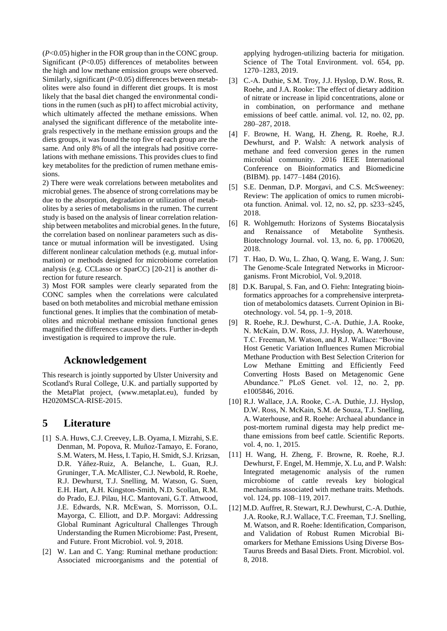(*P*<0.05) higher in the FOR group than in the CONC group. Significant (*P*<0.05) differences of metabolites between the high and low methane emission groups were observed. Similarly, significant (*P*<0.05) differences between metabolites were also found in different diet groups. It is most likely that the basal diet changed the environmental conditions in the rumen (such as pH) to affect microbial activity, which ultimately affected the methane emissions. When analysed the significant difference of the metabolite integrals respectively in the methane emission groups and the diets groups, it was found the top five of each group are the same. And only 8% of all the integrals had positive correlations with methane emissions. This provides clues to find key metabolites for the prediction of rumen methane emissions.

2) There were weak correlations between metabolites and microbial genes. The absence of strong correlations may be due to the absorption, degradation or utilization of metabolites by a series of metabolisms in the rumen. The current study is based on the analysis of linear correlation relationship between metabolites and microbial genes. In the future, the correlation based on nonlinear parameters such as distance or mutual information will be investigated. Using different nonlinear calculation methods (e.g. mutual information) or methods designed for microbiome correlation analysis (e.g. CCLasso or SparCC) [20-21] is another direction for future research.

3) Most FOR samples were clearly separated from the CONC samples when the correlations were calculated based on both metabolites and microbial methane emission functional genes. It implies that the combination of metabolites and microbial methane emission functional genes magnified the differences caused by diets. Further in-depth investigation is required to improve the rule.

## **Acknowledgement**

This research is jointly supported by Ulster University and Scotland's Rural College, U.K. and partially supported by the MetaPlat project, (www.metaplat.eu), funded by H2020MSCA-RISE-2015.

## **5 Literature**

- [1] S.A. Huws, C.J. Creevey, L.B. Oyama, I. Mizrahi, S.E. Denman, M. Popova, R. Muñoz-Tamayo, E. Forano, S.M. Waters, M. Hess, I. Tapio, H. Smidt, S.J. Krizsan, D.R. Yáñez-Ruiz, A. Belanche, L. Guan, R.J. Gruninger, T.A. McAllister, C.J. Newbold, R. Roehe, R.J. Dewhurst, T.J. Snelling, M. Watson, G. Suen, E.H. Hart, A.H. Kingston-Smith, N.D. Scollan, R.M. do Prado, E.J. Pilau, H.C. Mantovani, G.T. Attwood, J.E. Edwards, N.R. McEwan, S. Morrisson, O.L. Mayorga, C. Elliott, and D.P. Morgavi: Addressing Global Ruminant Agricultural Challenges Through Understanding the Rumen Microbiome: Past, Present, and Future. Front Microbiol. vol. 9, 2018.
- [2] W. Lan and C. Yang: Ruminal methane production: Associated microorganisms and the potential of

applying hydrogen-utilizing bacteria for mitigation. Science of The Total Environment. vol. 654, pp. 1270–1283, 2019.

- [3] C.-A. Duthie, S.M. Troy, J.J. Hyslop, D.W. Ross, R. Roehe, and J.A. Rooke: The effect of dietary addition of nitrate or increase in lipid concentrations, alone or in combination, on performance and methane emissions of beef cattle. animal. vol. 12, no. 02, pp. 280–287, 2018.
- [4] F. Browne, H. Wang, H. Zheng, R. Roehe, R.J. Dewhurst, and P. Walsh: A network analysis of methane and feed conversion genes in the rumen microbial community. 2016 IEEE International Conference on Bioinformatics and Biomedicine (BIBM). pp. 1477–1484 (2016).
- [5] S.E. Denman, D.P. Morgavi, and C.S. McSweeney: Review: The application of omics to rumen microbiota function. Animal. vol. 12, no. s2, pp. s233–s245, 2018.
- [6] R. Wohlgemuth: Horizons of Systems Biocatalysis and Renaissance of Metabolite Synthesis. Biotechnology Journal. vol. 13, no. 6, pp. 1700620, 2018.
- [7] T. Hao, D. Wu, L. Zhao, Q. Wang, E. Wang, J. Sun: The Genome-Scale Integrated Networks in Microorganisms. Front Microbiol, Vol. 9,2018.
- [8] D.K. Barupal, S. Fan, and O. Fiehn: Integrating bioinformatics approaches for a comprehensive interpretation of metabolomics datasets. Current Opinion in Biotechnology. vol. 54, pp. 1–9, 2018.
- [9] R. Roehe, R.J. Dewhurst, C.-A. Duthie, J.A. Rooke, N. McKain, D.W. Ross, J.J. Hyslop, A. Waterhouse, T.C. Freeman, M. Watson, and R.J. Wallace: "Bovine Host Genetic Variation Influences Rumen Microbial Methane Production with Best Selection Criterion for Low Methane Emitting and Efficiently Feed Converting Hosts Based on Metagenomic Gene Abundance." PLoS Genet. vol. 12, no. 2, pp. e1005846, 2016.
- [10] R.J. Wallace, J.A. Rooke, C.-A. Duthie, J.J. Hyslop, D.W. Ross, N. McKain, S.M. de Souza, T.J. Snelling, A. Waterhouse, and R. Roehe: Archaeal abundance in post-mortem ruminal digesta may help predict methane emissions from beef cattle. Scientific Reports. vol. 4, no. 1, 2015.
- [11] H. Wang, H. Zheng, F. Browne, R. Roehe, R.J. Dewhurst, F. Engel, M. Hemmje, X. Lu, and P. Walsh: Integrated metagenomic analysis of the rumen microbiome of cattle reveals key biological mechanisms associated with methane traits. Methods. vol. 124, pp. 108–119, 2017.
- [12] M.D. Auffret, R. Stewart, R.J. Dewhurst, C.-A. Duthie, J.A. Rooke, R.J. Wallace, T.C. Freeman, T.J. Snelling, M. Watson, and R. Roehe: Identification, Comparison, and Validation of Robust Rumen Microbial Biomarkers for Methane Emissions Using Diverse Bos-Taurus Breeds and Basal Diets. Front. Microbiol. vol. 8, 2018.